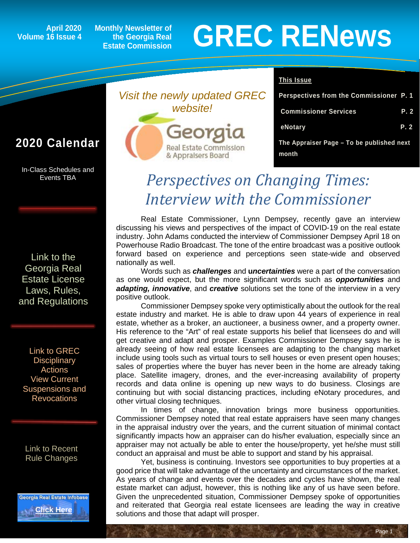## **Volume 16 Issue 4**

**Monthly Newsletter of the Georgia Real Estate Commission**

# April 2020 Monthly Newsletter of<br>16 Issue 4 Estate Commission **GREC RENEWS**

### **2020 Calendar**

In-Class Schedules and Events TBA

[Link to the](http://www.grec.state.ga.us/about/relaw.html)  [Georgia Real](http://www.grec.state.ga.us/about/relaw.html)  [Estate License](http://www.grec.state.ga.us/about/relaw.html)  [Laws, Rules,](http://www.grec.state.ga.us/about/relaw.html)  [and Regulations](http://www.grec.state.ga.us/about/relaw.html)

[Link to GREC](http://www.grec.state.ga.us/about/resanctions.html)  **Disciplinary** [Actions](http://www.grec.state.ga.us/about/resanctions.html) View Current Suspensions and **Revocations** 

[Link to Recent](https://grec.state.ga.us/recent-rule-changes/)  [Rule Changes](https://grec.state.ga.us/recent-rule-changes/)





#### **This Issue**

| Perspectives from the Commissioner P. 1            |      |
|----------------------------------------------------|------|
| <b>Commissioner Services</b>                       | P. 2 |
| eNotary                                            | P. 2 |
| The Appraiser Page - To be published next<br>month |      |

Page 1

## *Perspectives on Changing Times: Interview with the Commissioner*

Real Estate Commissioner, Lynn Dempsey, recently gave an interview discussing his views and perspectives of the impact of COVID-19 on the real estate industry. John Adams conducted the interview of Commissioner Dempsey April 18 on Powerhouse Radio Broadcast. The tone of the entire broadcast was a positive outlook forward based on experience and perceptions seen state-wide and observed nationally as well.

Words such as *challenges* and **u***ncertainties* were a part of the conversation as one would expect, but the more significant words such as *opportunities* and *adapting, innovative*, and *creative* solutions set the tone of the interview in a very positive outlook.

Commissioner Dempsey spoke very optimistically about the outlook for the real estate industry and market. He is able to draw upon 44 years of experience in real estate, whether as a broker, an auctioneer, a business owner, and a property owner. His reference to the "Art" of real estate supports his belief that licensees do and will get creative and adapt and prosper. Examples Commissioner Dempsey says he is already seeing of how real estate licensees are adapting to the changing market include using tools such as virtual tours to sell houses or even present open houses; sales of properties where the buyer has never been in the home are already taking place. Satellite imagery, drones, and the ever-increasing availability of property records and data online is opening up new ways to do business. Closings are continuing but with social distancing practices, including eNotary procedures, and other virtual closing techniques.

In times of change, innovation brings more business opportunities. Commissioner Dempsey noted that real estate appraisers have seen many changes in the appraisal industry over the years, and the current situation of minimal contact significantly impacts how an appraiser can do his/her evaluation, especially since an appraiser may not actually be able to enter the house/property, yet he/she must still conduct an appraisal and must be able to support and stand by his appraisal.

Yet, business is continuing. Investors see opportunities to buy properties at a good price that will take advantage of the uncertainty and circumstances of the market. As years of change and events over the decades and cycles have shown, the real estate market can adjust, however, this is nothing like any of us have seen before. Given the unprecedented situation, Commissioner Dempsey spoke of opportunities and reiterated that Georgia real estate licensees are leading the way in creative solutions and those that adapt will prosper.